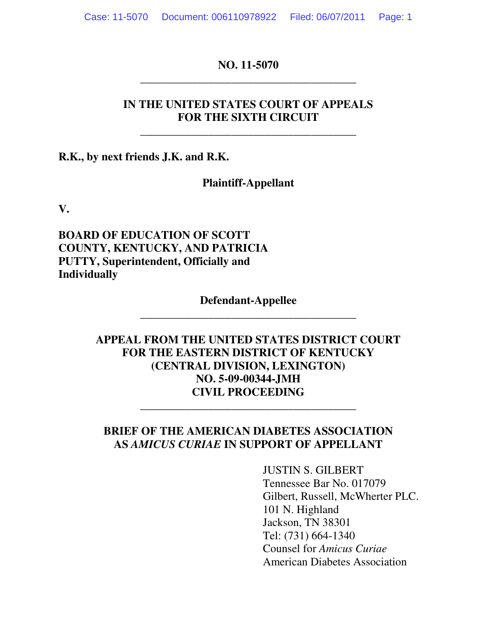**NO. 11-5070 \_\_\_\_\_\_\_\_\_\_\_\_\_\_\_\_\_\_\_\_\_\_\_\_\_\_\_\_\_\_\_\_\_\_\_\_\_\_** 

# **IN THE UNITED STATES COURT OF APPEALS FOR THE SIXTH CIRCUIT**

**\_\_\_\_\_\_\_\_\_\_\_\_\_\_\_\_\_\_\_\_\_\_\_\_\_\_\_\_\_\_\_\_\_\_\_\_\_\_** 

**R.K., by next friends J.K. and R.K.** 

# **Plaintiff-Appellant**

**V.** 

**BOARD OF EDUCATION OF SCOTT COUNTY, KENTUCKY, AND PATRICIA PUTTY, Superintendent, Officially and Individually** 

# **Defendant-Appellee \_\_\_\_\_\_\_\_\_\_\_\_\_\_\_\_\_\_\_\_\_\_\_\_\_\_\_\_\_\_\_\_\_\_\_\_\_\_**

# **APPEAL FROM THE UNITED STATES DISTRICT COURT FOR THE EASTERN DISTRICT OF KENTUCKY (CENTRAL DIVISION, LEXINGTON) NO. 5-09-00344-JMH CIVIL PROCEEDING**

# **BRIEF OF THE AMERICAN DIABETES ASSOCIATION AS** *AMICUS CURIAE* **IN SUPPORT OF APPELLANT**

**\_\_\_\_\_\_\_\_\_\_\_\_\_\_\_\_\_\_\_\_\_\_\_\_\_\_\_\_\_\_\_\_\_\_\_\_\_\_** 

JUSTIN S. GILBERT Tennessee Bar No. 017079 Gilbert, Russell, McWherter PLC. 101 N. Highland Jackson, TN 38301 Tel: (731) 664-1340 Counsel for *Amicus Curiae* American Diabetes Association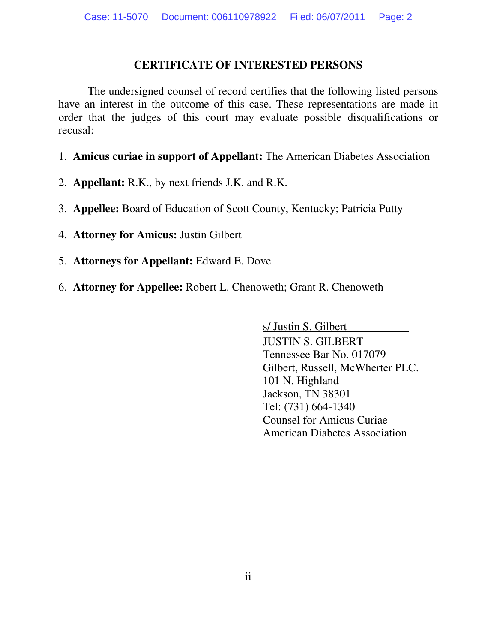#### **CERTIFICATE OF INTERESTED PERSONS**

The undersigned counsel of record certifies that the following listed persons have an interest in the outcome of this case. These representations are made in order that the judges of this court may evaluate possible disqualifications or recusal:

- 1. **Amicus curiae in support of Appellant:** The American Diabetes Association
- 2. **Appellant:** R.K., by next friends J.K. and R.K.
- 3. **Appellee:** Board of Education of Scott County, Kentucky; Patricia Putty
- 4. **Attorney for Amicus:** Justin Gilbert
- 5. **Attorneys for Appellant:** Edward E. Dove
- 6. **Attorney for Appellee:** Robert L. Chenoweth; Grant R. Chenoweth

s/ Justin S. Gilbert JUSTIN S. GILBERT Tennessee Bar No. 017079 Gilbert, Russell, McWherter PLC. 101 N. Highland Jackson, TN 38301 Tel: (731) 664-1340 Counsel for Amicus Curiae American Diabetes Association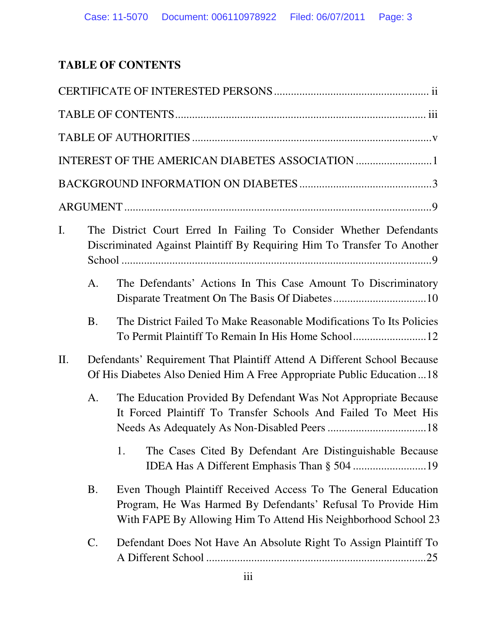# **TABLE OF CONTENTS**

| I.  |                                                                                                                                                   | The District Court Erred In Failing To Consider Whether Defendants<br>Discriminated Against Plaintiff By Requiring Him To Transfer To Another                                                    |  |
|-----|---------------------------------------------------------------------------------------------------------------------------------------------------|--------------------------------------------------------------------------------------------------------------------------------------------------------------------------------------------------|--|
|     | A.                                                                                                                                                | The Defendants' Actions In This Case Amount To Discriminatory                                                                                                                                    |  |
|     | <b>B.</b>                                                                                                                                         | The District Failed To Make Reasonable Modifications To Its Policies                                                                                                                             |  |
| II. | Defendants' Requirement That Plaintiff Attend A Different School Because<br>Of His Diabetes Also Denied Him A Free Appropriate Public Education18 |                                                                                                                                                                                                  |  |
|     | A.                                                                                                                                                | The Education Provided By Defendant Was Not Appropriate Because<br>It Forced Plaintiff To Transfer Schools And Failed To Meet His                                                                |  |
|     |                                                                                                                                                   | The Cases Cited By Defendant Are Distinguishable Because                                                                                                                                         |  |
|     | <b>B.</b>                                                                                                                                         | Even Though Plaintiff Received Access To The General Education<br>Program, He Was Harmed By Defendants' Refusal To Provide Him<br>With FAPE By Allowing Him To Attend His Neighborhood School 23 |  |
|     | C.                                                                                                                                                | Defendant Does Not Have An Absolute Right To Assign Plaintiff To                                                                                                                                 |  |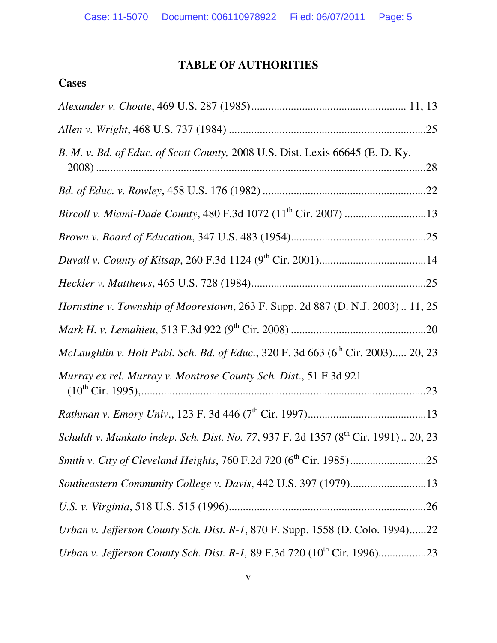# **TABLE OF AUTHORITIES**

# **Cases**

| B. M. v. Bd. of Educ. of Scott County, 2008 U.S. Dist. Lexis 66645 (E. D. Ky.                  |  |
|------------------------------------------------------------------------------------------------|--|
|                                                                                                |  |
|                                                                                                |  |
|                                                                                                |  |
|                                                                                                |  |
|                                                                                                |  |
| Hornstine v. Township of Moorestown, 263 F. Supp. 2d 887 (D. N.J. 2003) 11, 25                 |  |
|                                                                                                |  |
| McLaughlin v. Holt Publ. Sch. Bd. of Educ., 320 F. 3d 663 (6 <sup>th</sup> Cir. 2003) 20, 23   |  |
| Murray ex rel. Murray v. Montrose County Sch. Dist., 51 F.3d 921                               |  |
|                                                                                                |  |
| Schuldt v. Mankato indep. Sch. Dist. No. 77, 937 F. 2d 1357 (8 <sup>th</sup> Cir. 1991) 20, 23 |  |
|                                                                                                |  |
|                                                                                                |  |
|                                                                                                |  |
| Urban v. Jefferson County Sch. Dist. R-1, 870 F. Supp. 1558 (D. Colo. 1994)22                  |  |
|                                                                                                |  |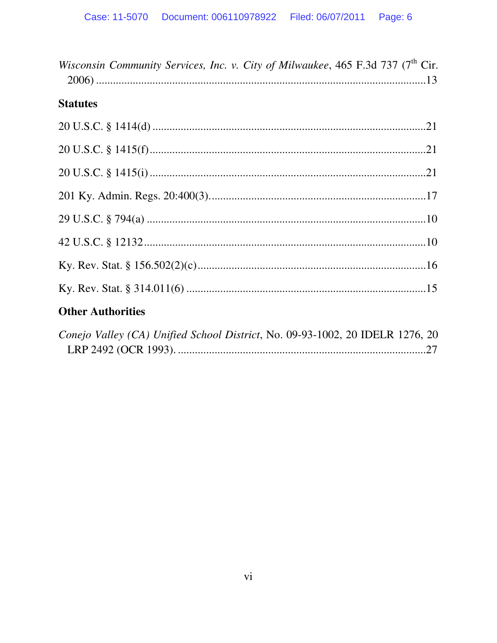| Wisconsin Community Services, Inc. v. City of Milwaukee, 465 F.3d 737 (7 <sup>th</sup> Cir. |  |
|---------------------------------------------------------------------------------------------|--|
| <b>Statutes</b>                                                                             |  |
|                                                                                             |  |
|                                                                                             |  |
|                                                                                             |  |
|                                                                                             |  |
|                                                                                             |  |
|                                                                                             |  |
|                                                                                             |  |
|                                                                                             |  |
| <b>Other Authorities</b>                                                                    |  |
| Conejo Valley (CA) Unified School District, No. 09-93-1002, 20 IDELR 1276, 20               |  |

| $L$ onejo valie $y$ (CA) Onified School District, No. 09-95-1002, 20 IDEEN 1270, 20 |  |
|-------------------------------------------------------------------------------------|--|
|                                                                                     |  |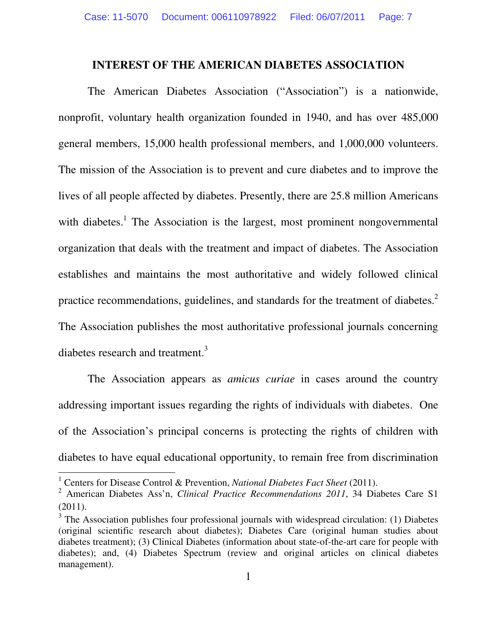#### **INTEREST OF THE AMERICAN DIABETES ASSOCIATION**

 The American Diabetes Association ("Association") is a nationwide, nonprofit, voluntary health organization founded in 1940, and has over 485,000 general members, 15,000 health professional members, and 1,000,000 volunteers. The mission of the Association is to prevent and cure diabetes and to improve the lives of all people affected by diabetes. Presently, there are 25.8 million Americans with diabetes.<sup>1</sup> The Association is the largest, most prominent nongovernmental organization that deals with the treatment and impact of diabetes. The Association establishes and maintains the most authoritative and widely followed clinical practice recommendations, guidelines, and standards for the treatment of diabetes.<sup>2</sup> The Association publishes the most authoritative professional journals concerning diabetes research and treatment.<sup>3</sup>

 The Association appears as *amicus curiae* in cases around the country addressing important issues regarding the rights of individuals with diabetes. One of the Association's principal concerns is protecting the rights of children with diabetes to have equal educational opportunity, to remain free from discrimination

<sup>&</sup>lt;sup>1</sup> Centers for Disease Control & Prevention, *National Diabetes Fact Sheet* (2011).

<sup>2</sup> American Diabetes Ass'n, *Clinical Practice Recommendations 2011*, 34 Diabetes Care S1 (2011).

<sup>&</sup>lt;sup>3</sup> The Association publishes four professional journals with widespread circulation: (1) Diabetes (original scientific research about diabetes); Diabetes Care (original human studies about diabetes treatment); (3) Clinical Diabetes (information about state-of-the-art care for people with diabetes); and, (4) Diabetes Spectrum (review and original articles on clinical diabetes management).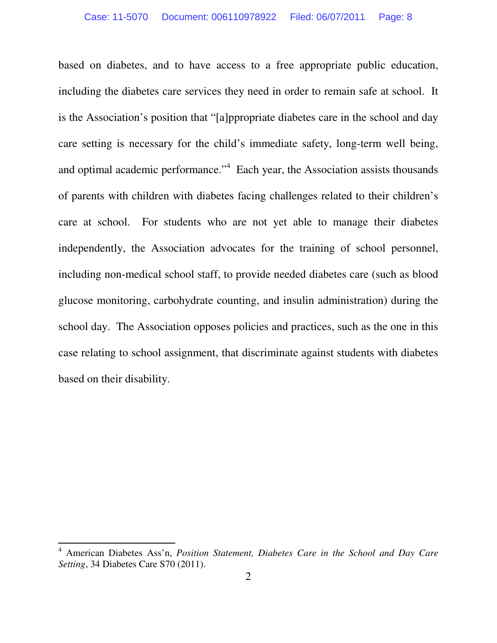based on diabetes, and to have access to a free appropriate public education, including the diabetes care services they need in order to remain safe at school. It is the Association's position that "[a]ppropriate diabetes care in the school and day care setting is necessary for the child's immediate safety, long-term well being, and optimal academic performance."<sup>4</sup> Each year, the Association assists thousands of parents with children with diabetes facing challenges related to their children's care at school. For students who are not yet able to manage their diabetes independently, the Association advocates for the training of school personnel, including non-medical school staff, to provide needed diabetes care (such as blood glucose monitoring, carbohydrate counting, and insulin administration) during the school day. The Association opposes policies and practices, such as the one in this case relating to school assignment, that discriminate against students with diabetes based on their disability.

<sup>4</sup> American Diabetes Ass'n, *Position Statement, Diabetes Care in the School and Day Care Setting*, 34 Diabetes Care S70 (2011).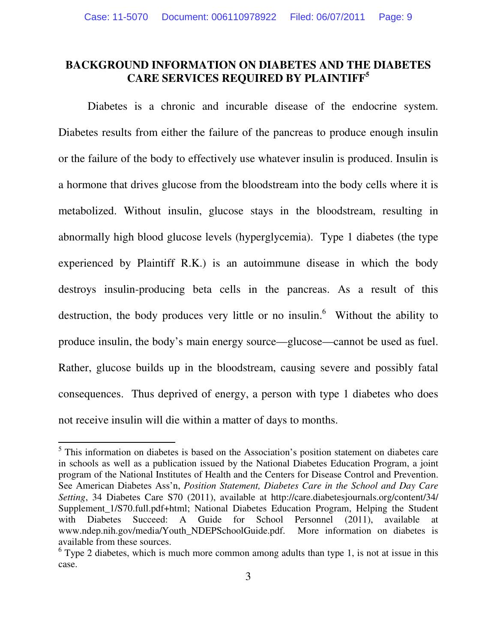### **BACKGROUND INFORMATION ON DIABETES AND THE DIABETES CARE SERVICES REQUIRED BY PLAINTIFF<sup>5</sup>**

 Diabetes is a chronic and incurable disease of the endocrine system. Diabetes results from either the failure of the pancreas to produce enough insulin or the failure of the body to effectively use whatever insulin is produced. Insulin is a hormone that drives glucose from the bloodstream into the body cells where it is metabolized. Without insulin, glucose stays in the bloodstream, resulting in abnormally high blood glucose levels (hyperglycemia). Type 1 diabetes (the type experienced by Plaintiff R.K.) is an autoimmune disease in which the body destroys insulin-producing beta cells in the pancreas. As a result of this destruction, the body produces very little or no insulin.<sup>6</sup> Without the ability to produce insulin, the body's main energy source—glucose—cannot be used as fuel. Rather, glucose builds up in the bloodstream, causing severe and possibly fatal consequences. Thus deprived of energy, a person with type 1 diabetes who does not receive insulin will die within a matter of days to months.

<sup>&</sup>lt;sup>5</sup> This information on diabetes is based on the Association's position statement on diabetes care in schools as well as a publication issued by the National Diabetes Education Program, a joint program of the National Institutes of Health and the Centers for Disease Control and Prevention. See American Diabetes Ass'n, *Position Statement, Diabetes Care in the School and Day Care Setting*, 34 Diabetes Care S70 (2011), available at http://care.diabetesjournals.org/content/34/ Supplement\_1/S70.full.pdf+html; National Diabetes Education Program, Helping the Student with Diabetes Succeed: A Guide for School Personnel (2011), available at www.ndep.nih.gov/media/Youth\_NDEPSchoolGuide.pdf. More information on diabetes is available from these sources.

 $6$  Type 2 diabetes, which is much more common among adults than type 1, is not at issue in this case.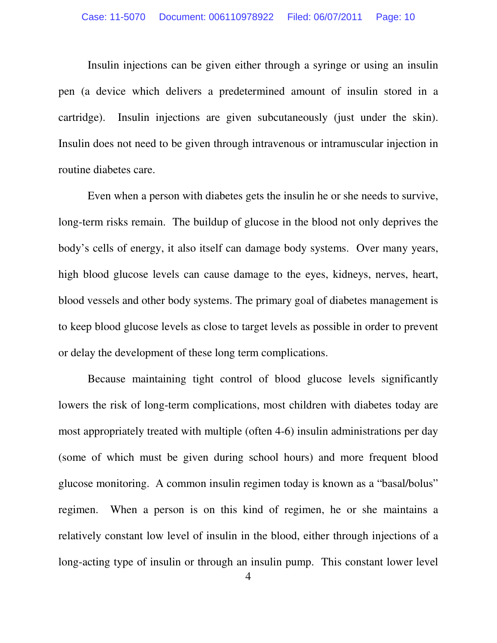Insulin injections can be given either through a syringe or using an insulin pen (a device which delivers a predetermined amount of insulin stored in a cartridge). Insulin injections are given subcutaneously (just under the skin). Insulin does not need to be given through intravenous or intramuscular injection in routine diabetes care.

 Even when a person with diabetes gets the insulin he or she needs to survive, long-term risks remain. The buildup of glucose in the blood not only deprives the body's cells of energy, it also itself can damage body systems. Over many years, high blood glucose levels can cause damage to the eyes, kidneys, nerves, heart, blood vessels and other body systems. The primary goal of diabetes management is to keep blood glucose levels as close to target levels as possible in order to prevent or delay the development of these long term complications.

 Because maintaining tight control of blood glucose levels significantly lowers the risk of long-term complications, most children with diabetes today are most appropriately treated with multiple (often 4-6) insulin administrations per day (some of which must be given during school hours) and more frequent blood glucose monitoring. A common insulin regimen today is known as a "basal/bolus" regimen. When a person is on this kind of regimen, he or she maintains a relatively constant low level of insulin in the blood, either through injections of a long-acting type of insulin or through an insulin pump. This constant lower level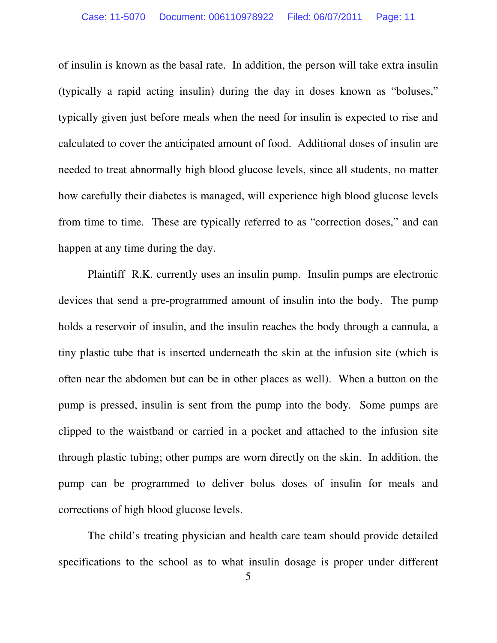of insulin is known as the basal rate. In addition, the person will take extra insulin (typically a rapid acting insulin) during the day in doses known as "boluses," typically given just before meals when the need for insulin is expected to rise and calculated to cover the anticipated amount of food. Additional doses of insulin are needed to treat abnormally high blood glucose levels, since all students, no matter how carefully their diabetes is managed, will experience high blood glucose levels from time to time. These are typically referred to as "correction doses," and can happen at any time during the day.

 Plaintiff R.K. currently uses an insulin pump. Insulin pumps are electronic devices that send a pre-programmed amount of insulin into the body. The pump holds a reservoir of insulin, and the insulin reaches the body through a cannula, a tiny plastic tube that is inserted underneath the skin at the infusion site (which is often near the abdomen but can be in other places as well). When a button on the pump is pressed, insulin is sent from the pump into the body. Some pumps are clipped to the waistband or carried in a pocket and attached to the infusion site through plastic tubing; other pumps are worn directly on the skin. In addition, the pump can be programmed to deliver bolus doses of insulin for meals and corrections of high blood glucose levels.

 The child's treating physician and health care team should provide detailed specifications to the school as to what insulin dosage is proper under different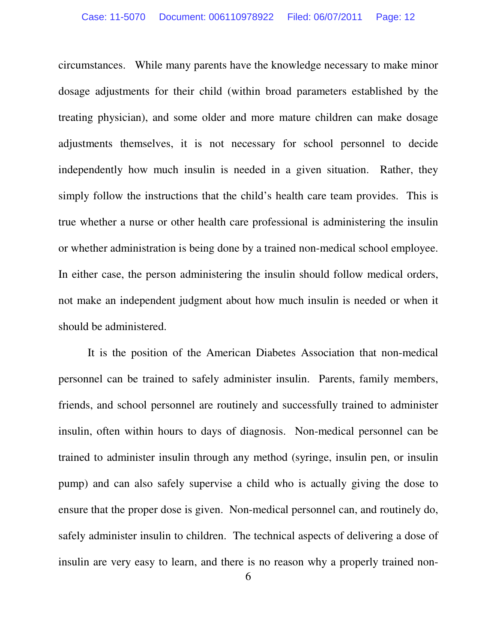circumstances. While many parents have the knowledge necessary to make minor dosage adjustments for their child (within broad parameters established by the treating physician), and some older and more mature children can make dosage adjustments themselves, it is not necessary for school personnel to decide independently how much insulin is needed in a given situation. Rather, they simply follow the instructions that the child's health care team provides. This is true whether a nurse or other health care professional is administering the insulin or whether administration is being done by a trained non-medical school employee. In either case, the person administering the insulin should follow medical orders, not make an independent judgment about how much insulin is needed or when it should be administered.

 It is the position of the American Diabetes Association that non-medical personnel can be trained to safely administer insulin. Parents, family members, friends, and school personnel are routinely and successfully trained to administer insulin, often within hours to days of diagnosis. Non-medical personnel can be trained to administer insulin through any method (syringe, insulin pen, or insulin pump) and can also safely supervise a child who is actually giving the dose to ensure that the proper dose is given. Non-medical personnel can, and routinely do, safely administer insulin to children. The technical aspects of delivering a dose of insulin are very easy to learn, and there is no reason why a properly trained non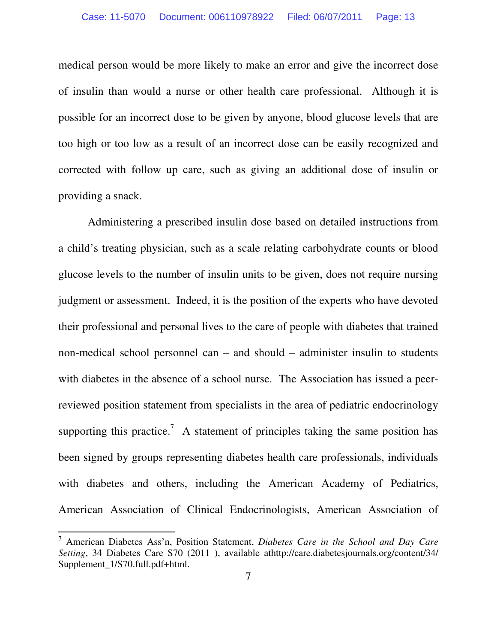medical person would be more likely to make an error and give the incorrect dose of insulin than would a nurse or other health care professional. Although it is possible for an incorrect dose to be given by anyone, blood glucose levels that are too high or too low as a result of an incorrect dose can be easily recognized and corrected with follow up care, such as giving an additional dose of insulin or providing a snack.

 Administering a prescribed insulin dose based on detailed instructions from a child's treating physician, such as a scale relating carbohydrate counts or blood glucose levels to the number of insulin units to be given, does not require nursing judgment or assessment. Indeed, it is the position of the experts who have devoted their professional and personal lives to the care of people with diabetes that trained non-medical school personnel can – and should – administer insulin to students with diabetes in the absence of a school nurse. The Association has issued a peerreviewed position statement from specialists in the area of pediatric endocrinology supporting this practice.<sup>7</sup> A statement of principles taking the same position has been signed by groups representing diabetes health care professionals, individuals with diabetes and others, including the American Academy of Pediatrics, American Association of Clinical Endocrinologists, American Association of

<sup>7</sup> American Diabetes Ass'n, Position Statement, *Diabetes Care in the School and Day Care Setting*, 34 Diabetes Care S70 (2011 ), available athttp://care.diabetesjournals.org/content/34/ Supplement\_1/S70.full.pdf+html.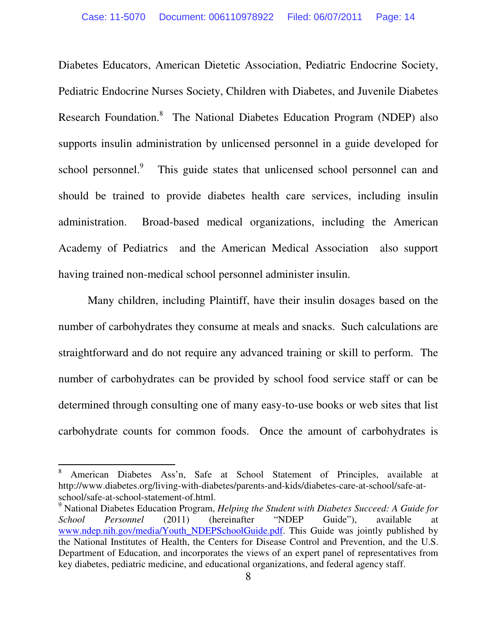Diabetes Educators, American Dietetic Association, Pediatric Endocrine Society, Pediatric Endocrine Nurses Society, Children with Diabetes, and Juvenile Diabetes Research Foundation.<sup>8</sup> The National Diabetes Education Program (NDEP) also supports insulin administration by unlicensed personnel in a guide developed for school personnel.<sup>9</sup> This guide states that unlicensed school personnel can and should be trained to provide diabetes health care services, including insulin administration. Broad-based medical organizations, including the American Academy of Pediatrics and the American Medical Association also support having trained non-medical school personnel administer insulin.

 Many children, including Plaintiff, have their insulin dosages based on the number of carbohydrates they consume at meals and snacks. Such calculations are straightforward and do not require any advanced training or skill to perform. The number of carbohydrates can be provided by school food service staff or can be determined through consulting one of many easy-to-use books or web sites that list carbohydrate counts for common foods. Once the amount of carbohydrates is

<sup>8</sup> American Diabetes Ass'n, Safe at School Statement of Principles, available at http://www.diabetes.org/living-with-diabetes/parents-and-kids/diabetes-care-at-school/safe-atschool/safe-at-school-statement-of.html.

<sup>9</sup> National Diabetes Education Program, *Helping the Student with Diabetes Succeed: A Guide for School Personnel* (2011) (hereinafter "NDEP Guide"), available at www.ndep.nih.gov/media/Youth\_NDEPSchoolGuide.pdf. This Guide was jointly published by the National Institutes of Health, the Centers for Disease Control and Prevention, and the U.S. Department of Education, and incorporates the views of an expert panel of representatives from key diabetes, pediatric medicine, and educational organizations, and federal agency staff.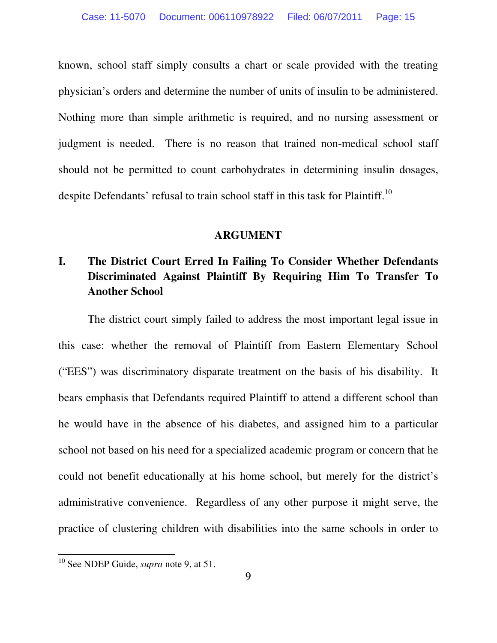known, school staff simply consults a chart or scale provided with the treating physician's orders and determine the number of units of insulin to be administered. Nothing more than simple arithmetic is required, and no nursing assessment or judgment is needed. There is no reason that trained non-medical school staff should not be permitted to count carbohydrates in determining insulin dosages, despite Defendants' refusal to train school staff in this task for Plaintiff.<sup>10</sup>

#### **ARGUMENT**

# **I. The District Court Erred In Failing To Consider Whether Defendants Discriminated Against Plaintiff By Requiring Him To Transfer To Another School**

The district court simply failed to address the most important legal issue in this case: whether the removal of Plaintiff from Eastern Elementary School ("EES") was discriminatory disparate treatment on the basis of his disability. It bears emphasis that Defendants required Plaintiff to attend a different school than he would have in the absence of his diabetes, and assigned him to a particular school not based on his need for a specialized academic program or concern that he could not benefit educationally at his home school, but merely for the district's administrative convenience. Regardless of any other purpose it might serve, the practice of clustering children with disabilities into the same schools in order to

<sup>10</sup> See NDEP Guide, *supra* note 9, at 51.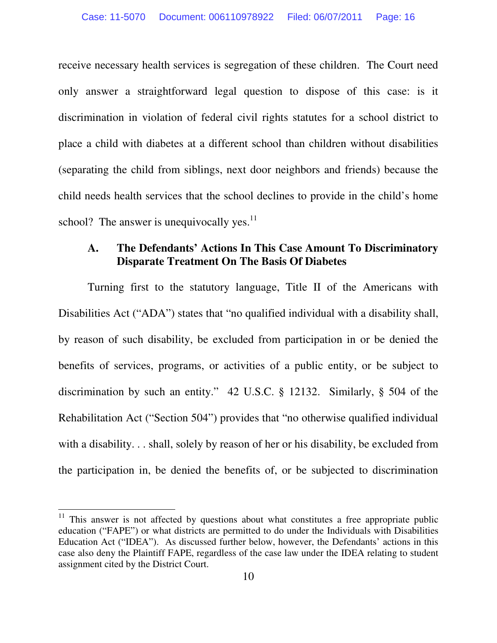receive necessary health services is segregation of these children. The Court need only answer a straightforward legal question to dispose of this case: is it discrimination in violation of federal civil rights statutes for a school district to place a child with diabetes at a different school than children without disabilities (separating the child from siblings, next door neighbors and friends) because the child needs health services that the school declines to provide in the child's home school? The answer is unequivocally yes. $^{11}$ 

### **A. The Defendants' Actions In This Case Amount To Discriminatory Disparate Treatment On The Basis Of Diabetes**

 Turning first to the statutory language, Title II of the Americans with Disabilities Act ("ADA") states that "no qualified individual with a disability shall, by reason of such disability, be excluded from participation in or be denied the benefits of services, programs, or activities of a public entity, or be subject to discrimination by such an entity." 42 U.S.C. § 12132. Similarly, § 504 of the Rehabilitation Act ("Section 504") provides that "no otherwise qualified individual with a disability. . . shall, solely by reason of her or his disability, be excluded from the participation in, be denied the benefits of, or be subjected to discrimination

 $11$  This answer is not affected by questions about what constitutes a free appropriate public education ("FAPE") or what districts are permitted to do under the Individuals with Disabilities Education Act ("IDEA"). As discussed further below, however, the Defendants' actions in this case also deny the Plaintiff FAPE, regardless of the case law under the IDEA relating to student assignment cited by the District Court.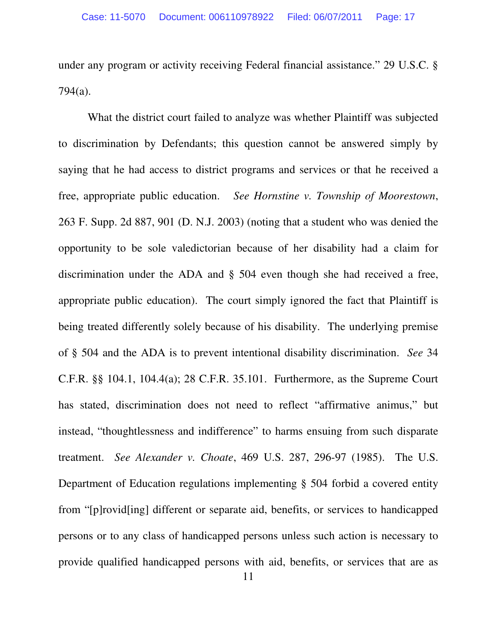under any program or activity receiving Federal financial assistance." 29 U.S.C. § 794(a).

 What the district court failed to analyze was whether Plaintiff was subjected to discrimination by Defendants; this question cannot be answered simply by saying that he had access to district programs and services or that he received a free, appropriate public education. *See Hornstine v. Township of Moorestown*, 263 F. Supp. 2d 887, 901 (D. N.J. 2003) (noting that a student who was denied the opportunity to be sole valedictorian because of her disability had a claim for discrimination under the ADA and § 504 even though she had received a free, appropriate public education). The court simply ignored the fact that Plaintiff is being treated differently solely because of his disability. The underlying premise of § 504 and the ADA is to prevent intentional disability discrimination. *See* 34 C.F.R. §§ 104.1, 104.4(a); 28 C.F.R. 35.101. Furthermore, as the Supreme Court has stated, discrimination does not need to reflect "affirmative animus," but instead, "thoughtlessness and indifference" to harms ensuing from such disparate treatment. *See Alexander v. Choate*, 469 U.S. 287, 296-97 (1985). The U.S. Department of Education regulations implementing § 504 forbid a covered entity from "[p]rovid[ing] different or separate aid, benefits, or services to handicapped persons or to any class of handicapped persons unless such action is necessary to provide qualified handicapped persons with aid, benefits, or services that are as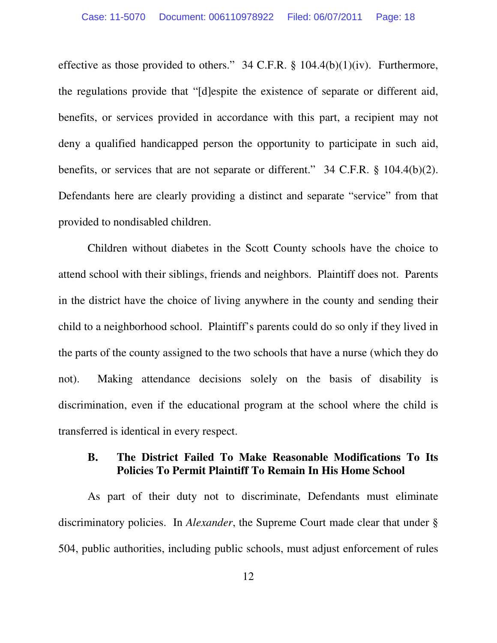effective as those provided to others."  $34$  C.F.R. §  $104.4(b)(1)(iv)$ . Furthermore, the regulations provide that "[d]espite the existence of separate or different aid, benefits, or services provided in accordance with this part, a recipient may not deny a qualified handicapped person the opportunity to participate in such aid, benefits, or services that are not separate or different." 34 C.F.R. § 104.4(b)(2). Defendants here are clearly providing a distinct and separate "service" from that provided to nondisabled children.

 Children without diabetes in the Scott County schools have the choice to attend school with their siblings, friends and neighbors. Plaintiff does not. Parents in the district have the choice of living anywhere in the county and sending their child to a neighborhood school. Plaintiff's parents could do so only if they lived in the parts of the county assigned to the two schools that have a nurse (which they do not). Making attendance decisions solely on the basis of disability is discrimination, even if the educational program at the school where the child is transferred is identical in every respect.

### **B. The District Failed To Make Reasonable Modifications To Its Policies To Permit Plaintiff To Remain In His Home School**

 As part of their duty not to discriminate, Defendants must eliminate discriminatory policies. In *Alexander*, the Supreme Court made clear that under § 504, public authorities, including public schools, must adjust enforcement of rules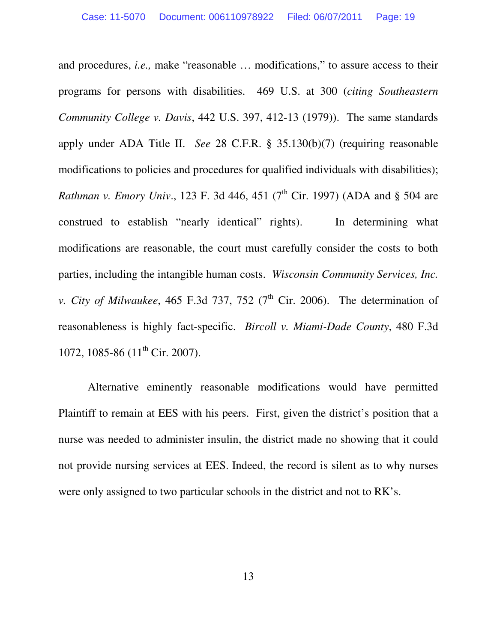and procedures, *i.e.,* make "reasonable … modifications," to assure access to their programs for persons with disabilities. 469 U.S. at 300 (*citing Southeastern Community College v. Davis*, 442 U.S. 397, 412-13 (1979)). The same standards apply under ADA Title II. *See* 28 C.F.R. § 35.130(b)(7) (requiring reasonable modifications to policies and procedures for qualified individuals with disabilities); *Rathman v. Emory Univ.*, 123 F. 3d 446, 451 (7<sup>th</sup> Cir. 1997) (ADA and § 504 are construed to establish "nearly identical" rights). In determining what modifications are reasonable, the court must carefully consider the costs to both parties, including the intangible human costs. *Wisconsin Community Services, Inc. v. City of Milwaukee*, 465 F.3d 737, 752 ( $7<sup>th</sup>$  Cir. 2006). The determination of reasonableness is highly fact-specific. *Bircoll v. Miami-Dade County*, 480 F.3d 1072, 1085-86 ( $11<sup>th</sup>$  Cir. 2007).

Alternative eminently reasonable modifications would have permitted Plaintiff to remain at EES with his peers. First, given the district's position that a nurse was needed to administer insulin, the district made no showing that it could not provide nursing services at EES. Indeed, the record is silent as to why nurses were only assigned to two particular schools in the district and not to RK's.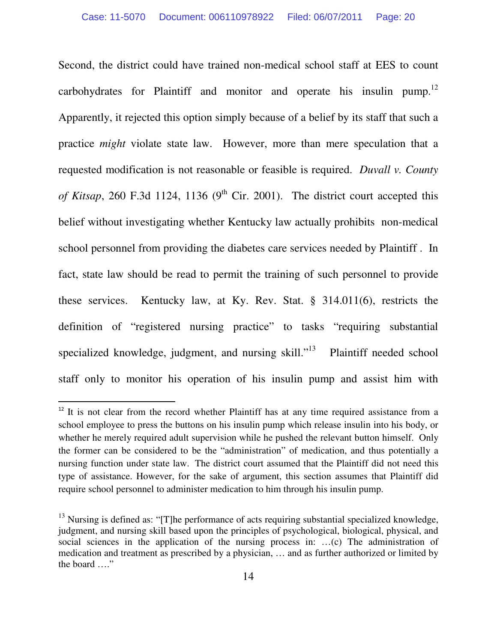Second, the district could have trained non-medical school staff at EES to count carbohydrates for Plaintiff and monitor and operate his insulin pump.<sup>12</sup> Apparently, it rejected this option simply because of a belief by its staff that such a practice *might* violate state law. However, more than mere speculation that a requested modification is not reasonable or feasible is required. *Duvall v. County of Kitsap*, 260 F.3d 1124, 1136 ( $9<sup>th</sup>$  Cir. 2001). The district court accepted this belief without investigating whether Kentucky law actually prohibits non-medical school personnel from providing the diabetes care services needed by Plaintiff . In fact, state law should be read to permit the training of such personnel to provide these services. Kentucky law, at Ky. Rev. Stat. § 314.011(6), restricts the definition of "registered nursing practice" to tasks "requiring substantial specialized knowledge, judgment, and nursing skill."<sup>13</sup> Plaintiff needed school staff only to monitor his operation of his insulin pump and assist him with

 $12$  It is not clear from the record whether Plaintiff has at any time required assistance from a school employee to press the buttons on his insulin pump which release insulin into his body, or whether he merely required adult supervision while he pushed the relevant button himself. Only the former can be considered to be the "administration" of medication, and thus potentially a nursing function under state law. The district court assumed that the Plaintiff did not need this type of assistance. However, for the sake of argument, this section assumes that Plaintiff did require school personnel to administer medication to him through his insulin pump.

 $13$  Nursing is defined as: "[T]he performance of acts requiring substantial specialized knowledge, judgment, and nursing skill based upon the principles of psychological, biological, physical, and social sciences in the application of the nursing process in: …(c) The administration of medication and treatment as prescribed by a physician, … and as further authorized or limited by the board …."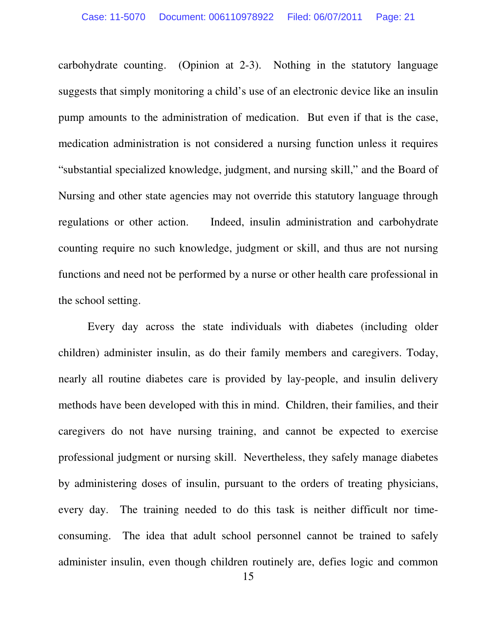carbohydrate counting. (Opinion at 2-3). Nothing in the statutory language suggests that simply monitoring a child's use of an electronic device like an insulin pump amounts to the administration of medication. But even if that is the case, medication administration is not considered a nursing function unless it requires "substantial specialized knowledge, judgment, and nursing skill," and the Board of Nursing and other state agencies may not override this statutory language through regulations or other action. Indeed, insulin administration and carbohydrate counting require no such knowledge, judgment or skill, and thus are not nursing functions and need not be performed by a nurse or other health care professional in the school setting.

Every day across the state individuals with diabetes (including older children) administer insulin, as do their family members and caregivers. Today, nearly all routine diabetes care is provided by lay-people, and insulin delivery methods have been developed with this in mind. Children, their families, and their caregivers do not have nursing training, and cannot be expected to exercise professional judgment or nursing skill. Nevertheless, they safely manage diabetes by administering doses of insulin, pursuant to the orders of treating physicians, every day. The training needed to do this task is neither difficult nor timeconsuming. The idea that adult school personnel cannot be trained to safely administer insulin, even though children routinely are, defies logic and common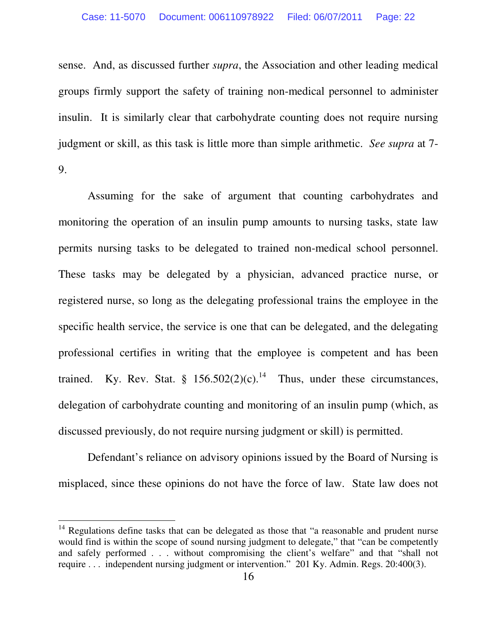sense. And, as discussed further *supra*, the Association and other leading medical groups firmly support the safety of training non-medical personnel to administer insulin. It is similarly clear that carbohydrate counting does not require nursing judgment or skill, as this task is little more than simple arithmetic. *See supra* at 7- 9.

 Assuming for the sake of argument that counting carbohydrates and monitoring the operation of an insulin pump amounts to nursing tasks, state law permits nursing tasks to be delegated to trained non-medical school personnel. These tasks may be delegated by a physician, advanced practice nurse, or registered nurse, so long as the delegating professional trains the employee in the specific health service, the service is one that can be delegated, and the delegating professional certifies in writing that the employee is competent and has been trained. Ky. Rev. Stat. § 156.502(2)(c).<sup>14</sup> Thus, under these circumstances, delegation of carbohydrate counting and monitoring of an insulin pump (which, as discussed previously, do not require nursing judgment or skill) is permitted.

 Defendant's reliance on advisory opinions issued by the Board of Nursing is misplaced, since these opinions do not have the force of law. State law does not

 $14$  Regulations define tasks that can be delegated as those that "a reasonable and prudent nurse would find is within the scope of sound nursing judgment to delegate," that "can be competently and safely performed . . . without compromising the client's welfare" and that "shall not require . . . independent nursing judgment or intervention." 201 Ky. Admin. Regs. 20:400(3).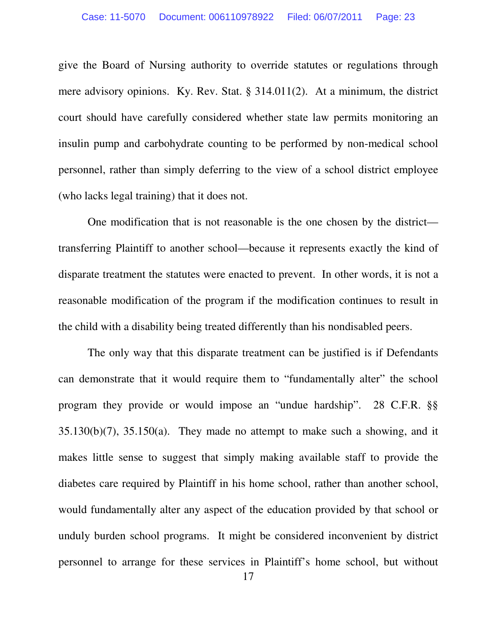give the Board of Nursing authority to override statutes or regulations through mere advisory opinions. Ky. Rev. Stat. § 314.011(2). At a minimum, the district court should have carefully considered whether state law permits monitoring an insulin pump and carbohydrate counting to be performed by non-medical school personnel, rather than simply deferring to the view of a school district employee (who lacks legal training) that it does not.

 One modification that is not reasonable is the one chosen by the district transferring Plaintiff to another school—because it represents exactly the kind of disparate treatment the statutes were enacted to prevent. In other words, it is not a reasonable modification of the program if the modification continues to result in the child with a disability being treated differently than his nondisabled peers.

The only way that this disparate treatment can be justified is if Defendants can demonstrate that it would require them to "fundamentally alter" the school program they provide or would impose an "undue hardship". 28 C.F.R. §§  $35.130(b)(7)$ ,  $35.150(a)$ . They made no attempt to make such a showing, and it makes little sense to suggest that simply making available staff to provide the diabetes care required by Plaintiff in his home school, rather than another school, would fundamentally alter any aspect of the education provided by that school or unduly burden school programs. It might be considered inconvenient by district personnel to arrange for these services in Plaintiff's home school, but without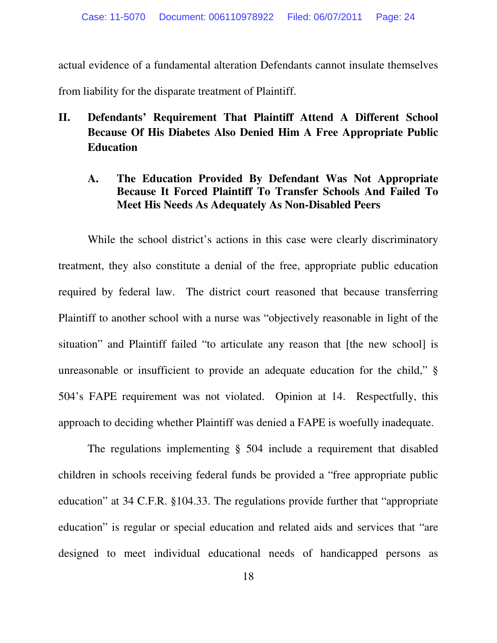actual evidence of a fundamental alteration Defendants cannot insulate themselves from liability for the disparate treatment of Plaintiff.

# **II. Defendants' Requirement That Plaintiff Attend A Different School Because Of His Diabetes Also Denied Him A Free Appropriate Public Education**

# **A. The Education Provided By Defendant Was Not Appropriate Because It Forced Plaintiff To Transfer Schools And Failed To Meet His Needs As Adequately As Non-Disabled Peers**

 While the school district's actions in this case were clearly discriminatory treatment, they also constitute a denial of the free, appropriate public education required by federal law. The district court reasoned that because transferring Plaintiff to another school with a nurse was "objectively reasonable in light of the situation" and Plaintiff failed "to articulate any reason that [the new school] is unreasonable or insufficient to provide an adequate education for the child," § 504's FAPE requirement was not violated. Opinion at 14. Respectfully, this approach to deciding whether Plaintiff was denied a FAPE is woefully inadequate.

 The regulations implementing § 504 include a requirement that disabled children in schools receiving federal funds be provided a "free appropriate public education" at 34 C.F.R. §104.33. The regulations provide further that "appropriate education" is regular or special education and related aids and services that "are designed to meet individual educational needs of handicapped persons as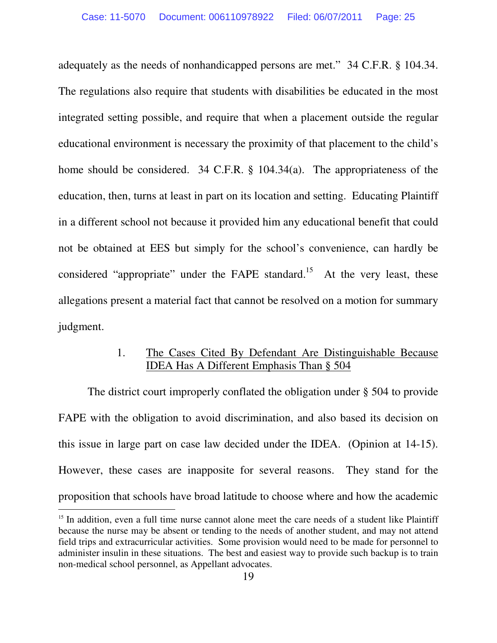adequately as the needs of nonhandicapped persons are met." 34 C.F.R. § 104.34. The regulations also require that students with disabilities be educated in the most integrated setting possible, and require that when a placement outside the regular educational environment is necessary the proximity of that placement to the child's home should be considered. 34 C.F.R. § 104.34(a). The appropriateness of the education, then, turns at least in part on its location and setting. Educating Plaintiff in a different school not because it provided him any educational benefit that could not be obtained at EES but simply for the school's convenience, can hardly be considered "appropriate" under the FAPE standard.<sup>15</sup> At the very least, these allegations present a material fact that cannot be resolved on a motion for summary judgment.

# 1. The Cases Cited By Defendant Are Distinguishable Because IDEA Has A Different Emphasis Than § 504

 The district court improperly conflated the obligation under § 504 to provide FAPE with the obligation to avoid discrimination, and also based its decision on this issue in large part on case law decided under the IDEA. (Opinion at 14-15). However, these cases are inapposite for several reasons. They stand for the proposition that schools have broad latitude to choose where and how the academic -<br>-

<sup>&</sup>lt;sup>15</sup> In addition, even a full time nurse cannot alone meet the care needs of a student like Plaintiff because the nurse may be absent or tending to the needs of another student, and may not attend field trips and extracurricular activities. Some provision would need to be made for personnel to administer insulin in these situations. The best and easiest way to provide such backup is to train non-medical school personnel, as Appellant advocates.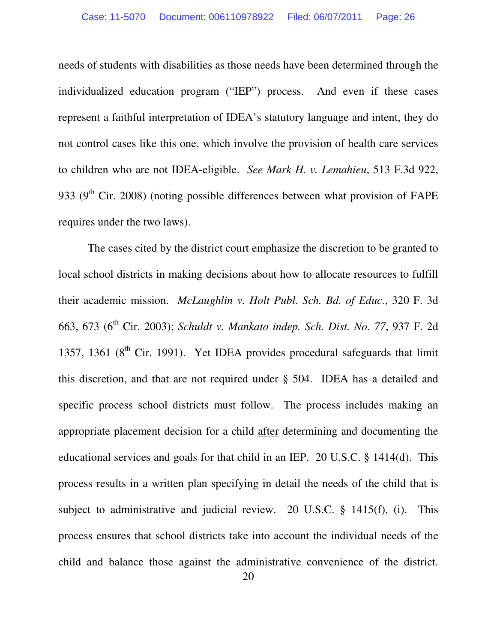needs of students with disabilities as those needs have been determined through the individualized education program ("IEP") process. And even if these cases represent a faithful interpretation of IDEA's statutory language and intent, they do not control cases like this one, which involve the provision of health care services to children who are not IDEA-eligible. *See Mark H. v. Lemahieu*, 513 F.3d 922, 933 ( $9<sup>th</sup>$  Cir. 2008) (noting possible differences between what provision of FAPE requires under the two laws).

The cases cited by the district court emphasize the discretion to be granted to local school districts in making decisions about how to allocate resources to fulfill their academic mission. *McLaughlin v. Holt Publ. Sch. Bd. of Educ.*, 320 F. 3d 663, 673 (6th Cir. 2003); *Schuldt v. Mankato indep. Sch. Dist. No. 77*, 937 F. 2d 1357, 1361 ( $8<sup>th</sup>$  Cir. 1991). Yet IDEA provides procedural safeguards that limit this discretion, and that are not required under § 504. IDEA has a detailed and specific process school districts must follow. The process includes making an appropriate placement decision for a child after determining and documenting the educational services and goals for that child in an IEP. 20 U.S.C. § 1414(d). This process results in a written plan specifying in detail the needs of the child that is subject to administrative and judicial review. 20 U.S.C. § 1415(f), (i). This process ensures that school districts take into account the individual needs of the child and balance those against the administrative convenience of the district.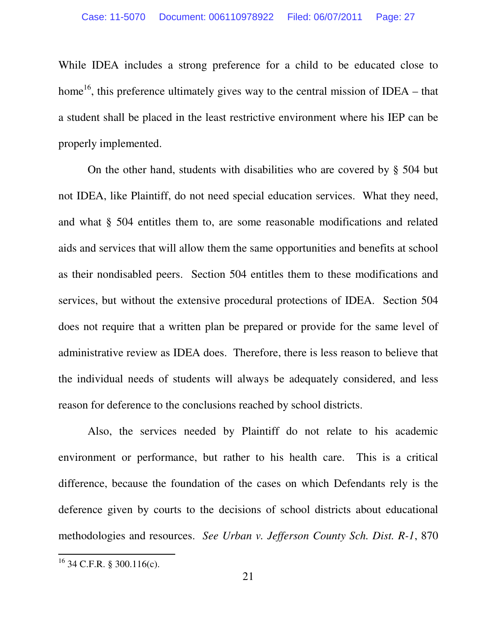While IDEA includes a strong preference for a child to be educated close to home<sup>16</sup>, this preference ultimately gives way to the central mission of IDEA – that a student shall be placed in the least restrictive environment where his IEP can be properly implemented.

 On the other hand, students with disabilities who are covered by § 504 but not IDEA, like Plaintiff, do not need special education services. What they need, and what § 504 entitles them to, are some reasonable modifications and related aids and services that will allow them the same opportunities and benefits at school as their nondisabled peers. Section 504 entitles them to these modifications and services, but without the extensive procedural protections of IDEA. Section 504 does not require that a written plan be prepared or provide for the same level of administrative review as IDEA does. Therefore, there is less reason to believe that the individual needs of students will always be adequately considered, and less reason for deference to the conclusions reached by school districts.

 Also, the services needed by Plaintiff do not relate to his academic environment or performance, but rather to his health care. This is a critical difference, because the foundation of the cases on which Defendants rely is the deference given by courts to the decisions of school districts about educational methodologies and resources. *See Urban v. Jefferson County Sch. Dist. R-1*, 870

 $16$  34 C.F.R. § 300.116(c).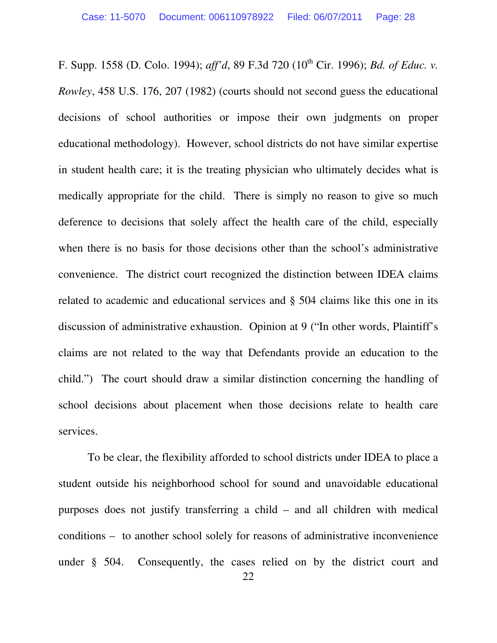F. Supp. 1558 (D. Colo. 1994); *aff'd*, 89 F.3d 720 (10th Cir. 1996); *Bd. of Educ. v. Rowley*, 458 U.S. 176, 207 (1982) (courts should not second guess the educational decisions of school authorities or impose their own judgments on proper educational methodology). However, school districts do not have similar expertise in student health care; it is the treating physician who ultimately decides what is medically appropriate for the child. There is simply no reason to give so much deference to decisions that solely affect the health care of the child, especially when there is no basis for those decisions other than the school's administrative convenience. The district court recognized the distinction between IDEA claims related to academic and educational services and § 504 claims like this one in its discussion of administrative exhaustion. Opinion at 9 ("In other words, Plaintiff's claims are not related to the way that Defendants provide an education to the child.") The court should draw a similar distinction concerning the handling of school decisions about placement when those decisions relate to health care services.

To be clear, the flexibility afforded to school districts under IDEA to place a student outside his neighborhood school for sound and unavoidable educational purposes does not justify transferring a child – and all children with medical conditions – to another school solely for reasons of administrative inconvenience under § 504. Consequently, the cases relied on by the district court and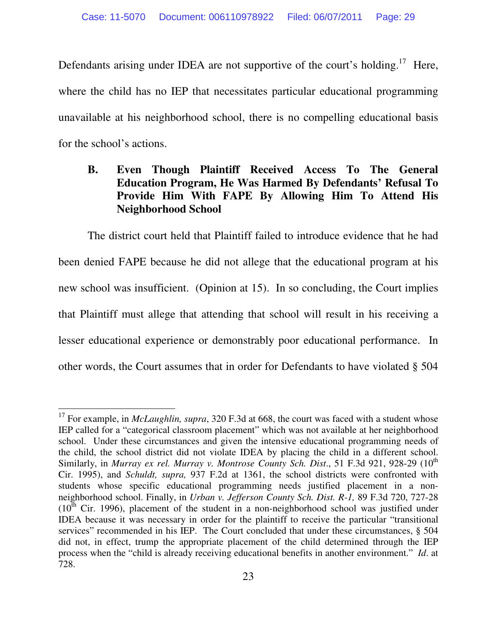Defendants arising under IDEA are not supportive of the court's holding.<sup>17</sup> Here, where the child has no IEP that necessitates particular educational programming unavailable at his neighborhood school, there is no compelling educational basis for the school's actions.

# **B. Even Though Plaintiff Received Access To The General Education Program, He Was Harmed By Defendants' Refusal To Provide Him With FAPE By Allowing Him To Attend His Neighborhood School**

The district court held that Plaintiff failed to introduce evidence that he had been denied FAPE because he did not allege that the educational program at his new school was insufficient. (Opinion at 15). In so concluding, the Court implies that Plaintiff must allege that attending that school will result in his receiving a lesser educational experience or demonstrably poor educational performance. In other words, the Court assumes that in order for Defendants to have violated § 504

<sup>&</sup>lt;sup>17</sup> For example, in *McLaughlin, supra*, 320 F.3d at 668, the court was faced with a student whose IEP called for a "categorical classroom placement" which was not available at her neighborhood school. Under these circumstances and given the intensive educational programming needs of the child, the school district did not violate IDEA by placing the child in a different school. Similarly, in *Murray ex rel. Murray v. Montrose County Sch. Dist.*, 51 F.3d 921, 928-29 (10<sup>th</sup> Cir. 1995), and *Schuldt, supra,* 937 F.2d at 1361, the school districts were confronted with students whose specific educational programming needs justified placement in a nonneighborhood school. Finally, in *Urban v. Jefferson County Sch. Dist. R-1,* 89 F.3d 720, 727-28  $(10<sup>th</sup>$  Cir. 1996), placement of the student in a non-neighborhood school was justified under IDEA because it was necessary in order for the plaintiff to receive the particular "transitional services" recommended in his IEP. The Court concluded that under these circumstances, § 504 did not, in effect, trump the appropriate placement of the child determined through the IEP process when the "child is already receiving educational benefits in another environment." *Id*. at 728.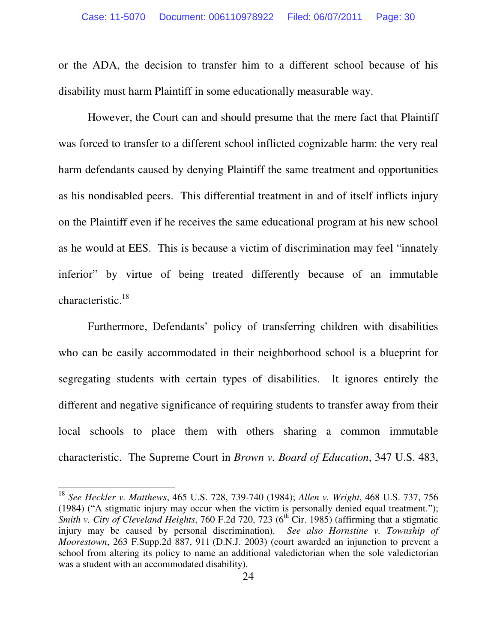or the ADA, the decision to transfer him to a different school because of his disability must harm Plaintiff in some educationally measurable way.

However, the Court can and should presume that the mere fact that Plaintiff was forced to transfer to a different school inflicted cognizable harm: the very real harm defendants caused by denying Plaintiff the same treatment and opportunities as his nondisabled peers. This differential treatment in and of itself inflicts injury on the Plaintiff even if he receives the same educational program at his new school as he would at EES. This is because a victim of discrimination may feel "innately inferior" by virtue of being treated differently because of an immutable characteristic.<sup>18</sup>

Furthermore, Defendants' policy of transferring children with disabilities who can be easily accommodated in their neighborhood school is a blueprint for segregating students with certain types of disabilities. It ignores entirely the different and negative significance of requiring students to transfer away from their local schools to place them with others sharing a common immutable characteristic. The Supreme Court in *Brown v. Board of Education*, 347 U.S. 483,

<sup>18</sup> *See Heckler v. Matthews*, 465 U.S. 728, 739-740 (1984); *Allen v. Wright*, 468 U.S. 737, 756 (1984) ("A stigmatic injury may occur when the victim is personally denied equal treatment."); *Smith v. City of Cleveland Heights*, 760 F.2d 720, 723  $(6^{th}$  Cir. 1985) (affirming that a stigmatic injury may be caused by personal discrimination). *See also Hornstine v. Township of Moorestown*, 263 F.Supp.2d 887, 911 (D.N.J. 2003) (court awarded an injunction to prevent a school from altering its policy to name an additional valedictorian when the sole valedictorian was a student with an accommodated disability).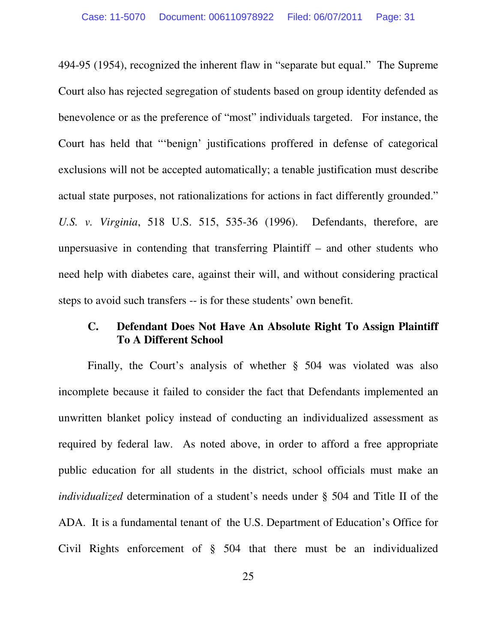494-95 (1954), recognized the inherent flaw in "separate but equal." The Supreme Court also has rejected segregation of students based on group identity defended as benevolence or as the preference of "most" individuals targeted. For instance, the Court has held that "'benign' justifications proffered in defense of categorical exclusions will not be accepted automatically; a tenable justification must describe actual state purposes, not rationalizations for actions in fact differently grounded." *U.S. v. Virginia*, 518 U.S. 515, 535-36 (1996). Defendants, therefore, are unpersuasive in contending that transferring Plaintiff – and other students who need help with diabetes care, against their will, and without considering practical steps to avoid such transfers -- is for these students' own benefit.

# **C. Defendant Does Not Have An Absolute Right To Assign Plaintiff To A Different School**

Finally, the Court's analysis of whether § 504 was violated was also incomplete because it failed to consider the fact that Defendants implemented an unwritten blanket policy instead of conducting an individualized assessment as required by federal law. As noted above, in order to afford a free appropriate public education for all students in the district, school officials must make an *individualized* determination of a student's needs under § 504 and Title II of the ADA. It is a fundamental tenant of the U.S. Department of Education's Office for Civil Rights enforcement of § 504 that there must be an individualized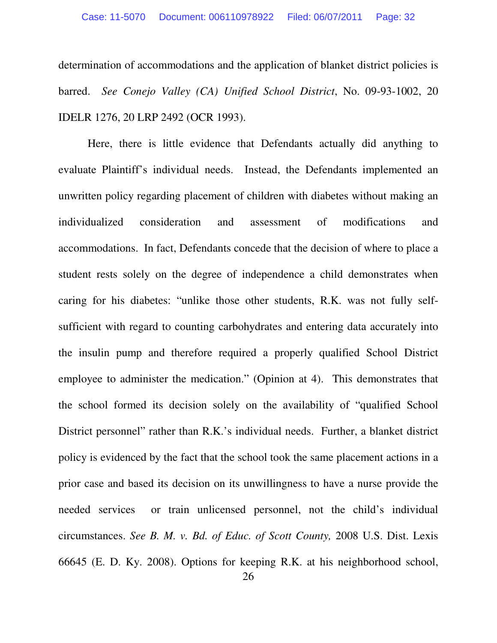determination of accommodations and the application of blanket district policies is barred. *See Conejo Valley (CA) Unified School District*, No. 09-93-1002, 20 IDELR 1276, 20 LRP 2492 (OCR 1993).

Here, there is little evidence that Defendants actually did anything to evaluate Plaintiff's individual needs. Instead, the Defendants implemented an unwritten policy regarding placement of children with diabetes without making an individualized consideration and assessment of modifications and accommodations. In fact, Defendants concede that the decision of where to place a student rests solely on the degree of independence a child demonstrates when caring for his diabetes: "unlike those other students, R.K. was not fully selfsufficient with regard to counting carbohydrates and entering data accurately into the insulin pump and therefore required a properly qualified School District employee to administer the medication." (Opinion at 4). This demonstrates that the school formed its decision solely on the availability of "qualified School District personnel" rather than R.K.'s individual needs. Further, a blanket district policy is evidenced by the fact that the school took the same placement actions in a prior case and based its decision on its unwillingness to have a nurse provide the needed services or train unlicensed personnel, not the child's individual circumstances. *See B. M. v. Bd. of Educ. of Scott County,* 2008 U.S. Dist. Lexis 66645 (E. D. Ky. 2008). Options for keeping R.K. at his neighborhood school,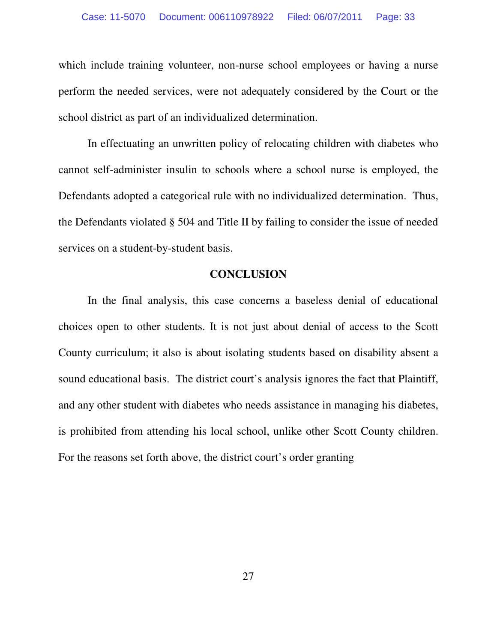which include training volunteer, non-nurse school employees or having a nurse perform the needed services, were not adequately considered by the Court or the school district as part of an individualized determination.

In effectuating an unwritten policy of relocating children with diabetes who cannot self-administer insulin to schools where a school nurse is employed, the Defendants adopted a categorical rule with no individualized determination. Thus, the Defendants violated § 504 and Title II by failing to consider the issue of needed services on a student-by-student basis.

# **CONCLUSION**

In the final analysis, this case concerns a baseless denial of educational choices open to other students. It is not just about denial of access to the Scott County curriculum; it also is about isolating students based on disability absent a sound educational basis. The district court's analysis ignores the fact that Plaintiff, and any other student with diabetes who needs assistance in managing his diabetes, is prohibited from attending his local school, unlike other Scott County children. For the reasons set forth above, the district court's order granting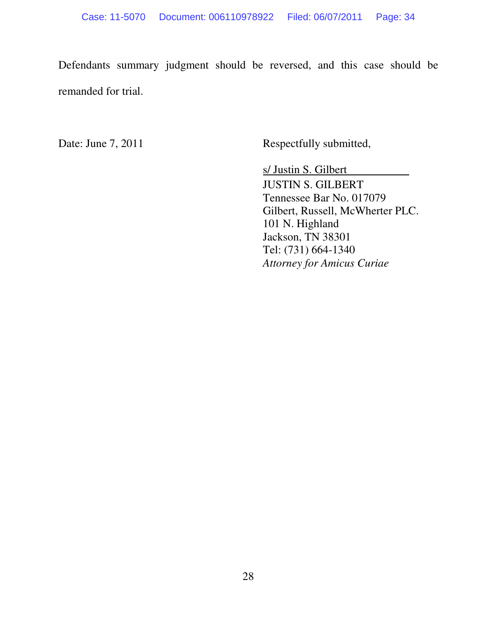Defendants summary judgment should be reversed, and this case should be remanded for trial.

Date: June 7, 2011 Respectfully submitted,

s/ Justin S. Gilbert JUSTIN S. GILBERT Tennessee Bar No. 017079 Gilbert, Russell, McWherter PLC. 101 N. Highland Jackson, TN 38301 Tel: (731) 664-1340 *Attorney for Amicus Curiae*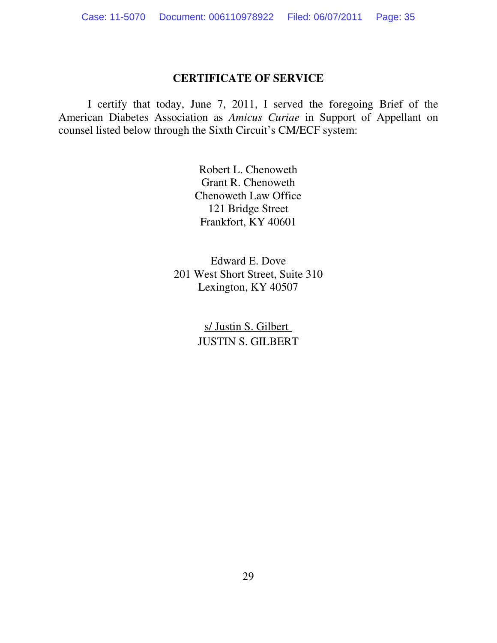#### **CERTIFICATE OF SERVICE**

I certify that today, June 7, 2011, I served the foregoing Brief of the American Diabetes Association as *Amicus Curiae* in Support of Appellant on counsel listed below through the Sixth Circuit's CM/ECF system:

> Robert L. Chenoweth Grant R. Chenoweth Chenoweth Law Office 121 Bridge Street Frankfort, KY 40601

Edward E. Dove 201 West Short Street, Suite 310 Lexington, KY 40507

> s/ Justin S. Gilbert JUSTIN S. GILBERT